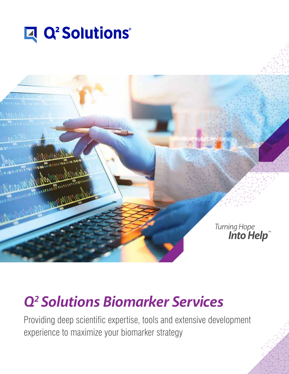



# *Q2 Solutions Biomarker Services*

Providing deep scientific expertise, tools and extensive development experience to maximize your biomarker strategy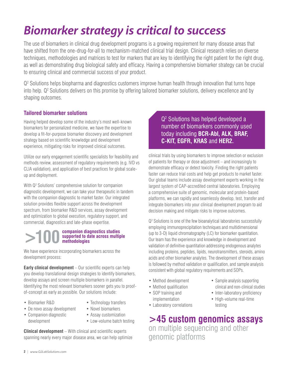# *Biomarker strategy is critical to success*

The use of biomarkers in clinical drug development programs is a growing requirement for many disease areas that have shifted from the one-drug-for-all to mechanism-matched clinical trial design. Clinical research relies on diverse techniques, methodologies and matrices to test for markers that are key to identifying the right patient for the right drug, as well as demonstrating drug biological safety and efficacy. Having a comprehensive biomarker strategy can be crucial to ensuring clinical and commercial success of your product.

Q<sup>2</sup> Solutions helps biopharma and diagnostics customers improve human health through innovation that turns hope into help. Q<sup>2</sup> Solutions delivers on this promise by offering tailored biomarker solutions, delivery excellence and by shaping outcomes.

### **Tailored biomarker solutions**

Having helped develop some of the industry's most well-known biomarkers for personalized medicine, we have the expertise to develop a fit-for-purpose biomarker discovery and development strategy based on scientific knowledge and development experience, mitigating risks for improved clinical outcomes.

Utilize our early engagement scientific specialists for feasibility and methods review, assessment of regulatory requirements (e.g. IVD vs CLIA validation), and application of best practices for global scaleup and deployment.

With Q<sup>2</sup> Solutions' comprehensive solution for companion diagnostic development, we can take your therapeutic in tandem with the companion diagnostic to market faster. Our integrated solution provides flexible support across the development spectrum, from biomarker R&D services, assay development and optimization to global execution, regulatory support, and commercial, diagnostics and late-phase expertise.

#### **black of the Companion diagnostics studies**<br> **black of the across multiple of the across multiple of the methodologies supported to date across multiple methodologies**

We have experience incorporating biomarkers across the development process:

**Early clinical development** – Our scientific experts can help you develop translational design strategies to identify biomarkers, develop assays and screen multiple biomarkers in parallel. Identifying the most relevant biomarkers sooner gets you to proofof-concept as early as possible. Our solutions include:

- Biomarker R&D
- Technology transfers
- De novo assay development
- Companion diagnostic development
- Novel biomarkers
- Assay customization
- Low-volume batch testing

**Clinical development** – With clinical and scientific experts spanning nearly every major disease area, we can help optimize

## Q2 Solutions has helped developed a number of biomarkers commonly used today including **BCR-Abl, ALK, BRAF, C-KIT, EGFR, KRAS** and **HER2.**

clinical trials by using biomarkers to improve selection or exclusion of patients for therapy or dose adjustment – and increasingly to demonstrate efficacy or detect toxicity. Finding the right patients faster can reduce trial costs and help get products to market faster. Our global teams include assay development experts working in the largest system of CAP-accredited central laboratories. Employing a comprehensive suite of genomic, molecular and protein-based platforms, we can rapidly and seamlessly develop, test, transfer and integrate biomarkers into your clinical development program to aid decision making and mitigate risks to improve outcomes.

Q2 Solutions is one of the few bioanalytical laboratories successfully employing immunoprecipitation techniques and multidimensional (up to 3-D) liquid chromatography (LC) for biomarker quantitation. Our team has the experience and knowledge in development and validation of definitive quantitation addressing endogenous analytes including proteins, peptides, lipids, neurotransmitters, steroids, amino acids and other biomarker analytes. The development of these assays is followed by method validation or qualification, and sample analysis consistent with global regulatory requirements and SOPs.

> • Sample analysis supporting clinical and non-clinical studies • Inter-laboratory proficiency • High-volume real-time

testing

- Method development
- Method qualification
- SOP training and implementation
- Laboratory correlations

**>45 custom genomics assays** on multiple sequencing and other genomic platforms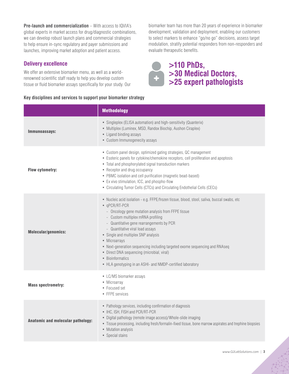**Pre-launch and commercialization** – With access to IQVIA's global experts in market access for drug/diagnostic combinations, we can develop robust launch plans and commercial strategies to help ensure in-sync regulatory and payer submissions and launches, improving market adoption and patient access.

### **Delivery excellence**

We offer an extensive biomarker menu, as well as a worldrenowned scientific staff ready to help you develop custom tissue or fluid biomarker assays specifically for your study. Our

#### **Key disciplines and services to support your biomarker strategy**

biomarker team has more than 20 years of experience in biomarker development, validation and deployment, enabling our customers to select markers to enhance "go/no go" decisions, assess target modulation, stratify potential responders from non-responders and evaluate therapeutic benefits.



|                                          | <b>Methodology</b>                                                                                                                                                                                                                                                                                                                                                                                                                                                                                                                                              |
|------------------------------------------|-----------------------------------------------------------------------------------------------------------------------------------------------------------------------------------------------------------------------------------------------------------------------------------------------------------------------------------------------------------------------------------------------------------------------------------------------------------------------------------------------------------------------------------------------------------------|
| Immunoassays:                            | • Singleplex (ELISA automation) and high-sensitivity (Quanterix)<br>• Multiplex (Luminex, MSD, Randox Biochip, Aushon Ciraplex)<br>• Ligand binding assays<br>• Custom Immunogenecity assays                                                                                                                                                                                                                                                                                                                                                                    |
| <b>Flow cytometry:</b>                   | • Custom panel design, optimized gating strategies, QC management<br>• Esoteric panels for cytokine/chemokine receptors, cell proliferation and apoptosis<br>• Total and phosphorylated signal transduction markers<br>• Receptor and drug occupancy<br>• PBMC isolation and cell purification (magnetic bead-based)<br>• Ex vivo stimulation, ICC, and phospho-flow<br>• Circulating Tumor Cells (CTCs) and Circulating Endothelial Cells (CECs)                                                                                                               |
| <b>Molecular/genomics:</b>               | • Nucleic acid isolation - e.g. FFPE/frozen tissue, blood, stool, saliva, buccal swabs, etc<br>• qPCR/RT-PCR<br>- Oncology gene mutation analysis from FFPE tissue<br>- Custom multiplex mRNA profiling<br>- Quantitative gene rearrangements by PCR<br>- Quantitative viral load assays<br>• Single and multiplex SNP analysis<br>• Microarrays<br>• Next-generation sequencing including targeted exome sequencing and RNAseq<br>• Direct DNA sequencing (microbial, viral)<br>• Bioinformatics<br>• HLA genotyping in an ASHI- and NMDP-certified laboratory |
| <b>Mass spectrometry:</b>                | • LC/MS biomarker assays<br>• Microarray<br>• Focused set<br>• FFPE services                                                                                                                                                                                                                                                                                                                                                                                                                                                                                    |
| <b>Anatomic and molecular pathology:</b> | • Pathology services, including confirmation of diagnosis<br>• IHC, ISH, FISH and PCR/RT-PCR<br>• Digital pathology (remote image access)/Whole-slide imaging<br>• Tissue processing, including fresh/formalin-fixed tissue, bone marrow aspirates and trephine biopsies<br>• Mutation analysis<br>• Special stains                                                                                                                                                                                                                                             |